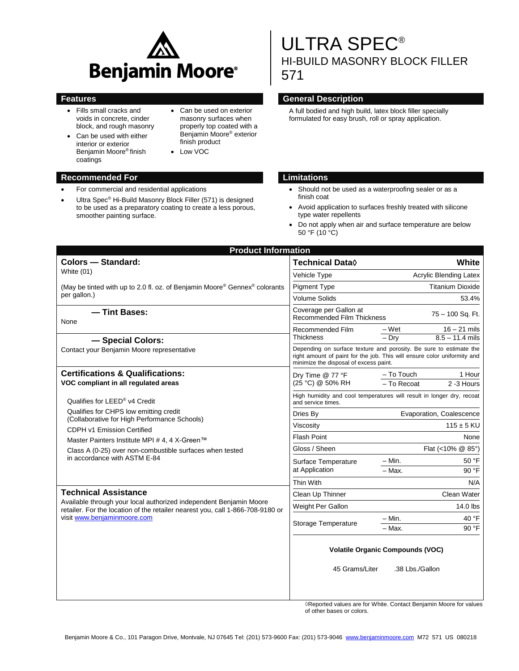

- Fills small cracks and voids in concrete, cinder block, and rough masonry
- Can be used with either interior or exterior Benjamin Moore® finish coatings
- Can be used on exterior masonry surfaces when properly top coated with a Benjamin Moore® exterior finish product
- Low VOC

#### **Recommended For Limitations**

- For commercial and residential applications
- Ultra Spec® Hi-Build Masonry Block Filler (571) is designed to be used as a preparatory coating to create a less porous, smoother painting surface.

# ULTRA SPEC® HI-BUILD MASONRY BLOCK FILLER 571

#### **Features Features General Description**

A full bodied and high build, latex block filler specially formulated for easy brush, roll or spray application.

- Should not be used as a waterproofing sealer or as a finish coat
- Avoid application to surfaces freshly treated with silicone type water repellents
- Do not apply when air and surface temperature are below 50 °F (10  $^{\circ}$ C)

| <b>Product Information</b>                                                                                                                                                                                                                                                                         |                                                                                                                                                                                          |                          |                   |  |
|----------------------------------------------------------------------------------------------------------------------------------------------------------------------------------------------------------------------------------------------------------------------------------------------------|------------------------------------------------------------------------------------------------------------------------------------------------------------------------------------------|--------------------------|-------------------|--|
| <b>Colors - Standard:</b><br>White (01)                                                                                                                                                                                                                                                            | Technical Data $\Diamond$                                                                                                                                                                | White                    |                   |  |
|                                                                                                                                                                                                                                                                                                    | Vehicle Type                                                                                                                                                                             | Acrylic Blending Latex   |                   |  |
| (May be tinted with up to 2.0 fl. oz. of Benjamin Moore® Gennex® colorants<br>per gallon.)                                                                                                                                                                                                         | <b>Pigment Type</b>                                                                                                                                                                      | <b>Titanium Dioxide</b>  |                   |  |
|                                                                                                                                                                                                                                                                                                    | <b>Volume Solids</b>                                                                                                                                                                     |                          | 53.4%             |  |
| - Tint Bases:<br>None                                                                                                                                                                                                                                                                              | Coverage per Gallon at<br><b>Recommended Film Thickness</b>                                                                                                                              | 75 - 100 Sq. Ft.         |                   |  |
|                                                                                                                                                                                                                                                                                                    | Recommended Film                                                                                                                                                                         | $-Wet$                   | $16 - 21$ mils    |  |
| - Special Colors:                                                                                                                                                                                                                                                                                  | <b>Thickness</b>                                                                                                                                                                         | $-$ Drv                  | $8.5 - 11.4$ mils |  |
| Contact your Benjamin Moore representative                                                                                                                                                                                                                                                         | Depending on surface texture and porosity. Be sure to estimate the<br>right amount of paint for the job. This will ensure color uniformity and<br>minimize the disposal of excess paint. |                          |                   |  |
| <b>Certifications &amp; Qualifications:</b><br>VOC compliant in all regulated areas                                                                                                                                                                                                                | Dry Time @ 77 °F<br>(25 °C) @ 50% RH                                                                                                                                                     | - To Touch               | 1 Hour            |  |
|                                                                                                                                                                                                                                                                                                    |                                                                                                                                                                                          | - To Recoat              | 2 -3 Hours        |  |
| Qualifies for LEED® v4 Credit<br>Qualifies for CHPS low emitting credit<br>(Collaborative for High Performance Schools)<br>CDPH v1 Emission Certified<br>Master Painters Institute MPI # 4, 4 X-Green™<br>Class A (0-25) over non-combustible surfaces when tested<br>in accordance with ASTM E-84 | High humidity and cool temperatures will result in longer dry, recoat<br>and service times.                                                                                              |                          |                   |  |
|                                                                                                                                                                                                                                                                                                    | Dries By                                                                                                                                                                                 | Evaporation, Coalescence |                   |  |
|                                                                                                                                                                                                                                                                                                    | Viscosity                                                                                                                                                                                | $115 \pm 5$ KU           |                   |  |
|                                                                                                                                                                                                                                                                                                    | <b>Flash Point</b>                                                                                                                                                                       | None                     |                   |  |
|                                                                                                                                                                                                                                                                                                    | Gloss / Sheen                                                                                                                                                                            | Flat (<10% @ 85°)        |                   |  |
|                                                                                                                                                                                                                                                                                                    | Surface Temperature<br>at Application                                                                                                                                                    | $-$ Min.                 | 50 °F             |  |
|                                                                                                                                                                                                                                                                                                    |                                                                                                                                                                                          | $-$ Max.                 | 90 °F             |  |
|                                                                                                                                                                                                                                                                                                    | Thin With                                                                                                                                                                                |                          | N/A               |  |
| <b>Technical Assistance</b><br>Available through your local authorized independent Benjamin Moore<br>retailer. For the location of the retailer nearest you, call 1-866-708-9180 or<br>visit www.benjaminmoore.com                                                                                 | Clean Up Thinner                                                                                                                                                                         |                          | Clean Water       |  |
|                                                                                                                                                                                                                                                                                                    | Weight Per Gallon                                                                                                                                                                        |                          | 14.0 lbs          |  |
|                                                                                                                                                                                                                                                                                                    | Storage Temperature                                                                                                                                                                      | – Min.                   | 40 °F             |  |
|                                                                                                                                                                                                                                                                                                    |                                                                                                                                                                                          | $-$ Max.                 | 90 °F             |  |
|                                                                                                                                                                                                                                                                                                    | <b>Volatile Organic Compounds (VOC)</b>                                                                                                                                                  |                          |                   |  |
|                                                                                                                                                                                                                                                                                                    | 45 Grams/Liter                                                                                                                                                                           | .38 Lbs./Gallon          |                   |  |

Reported values are for White. Contact Benjamin Moore for values of other bases or colors.